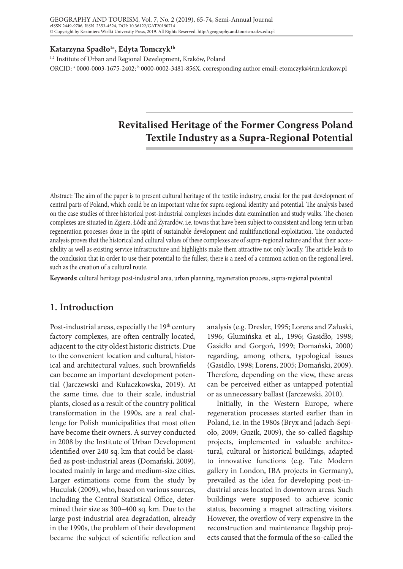#### **Katarzyna Spadło1a, Edyta Tomczyk1b**

1,2 Institute of Urban and Regional Development, Kraków, Poland ORCID: ª 0000-0003-1675-2402; <sup>b</sup> 0000-0002-3481-856X, corresponding author email: etomczyk@irm.krakow.pl

# **Revitalised Heritage of the Former Congress Poland Textile Industry as a Supra-Regional Potential**

Abstract: The aim of the paper is to present cultural heritage of the textile industry, crucial for the past development of central parts of Poland, which could be an important value for supra-regional identity and potential. The analysis based on the case studies of three historical post-industrial complexes includes data examination and study walks. The chosen complexes are situated in Zgierz, Łódź and Żyrardów, i.e. towns that have been subject to consistent and long-term urban regeneration processes done in the spirit of sustainable development and multifunctional exploitation. The conducted analysis proves that the historical and cultural values of these complexes are of supra-regional nature and that their accessibility as well as existing service infrastructure and highlights make them attractive not only locally. The article leads to the conclusion that in order to use their potential to the fullest, there is a need of a common action on the regional level, such as the creation of a cultural route.

**Keywords:** cultural heritage post-industrial area, urban planning, regeneration process, supra-regional potential

# **1. Introduction**

Post-industrial areas, especially the 19<sup>th</sup> century factory complexes, are often centrally located, adjacent to the city oldest historic districts. Due to the convenient location and cultural, historical and architectural values, such brownfields can become an important development potential (Jarczewski and Kułaczkowska, 2019). At the same time, due to their scale, industrial plants, closed as a result of the country political transformation in the 1990s, are a real challenge for Polish municipalities that most often have become their owners. A survey conducted in 2008 by the Institute of Urban Development identified over 240 sq. km that could be classified as post-industrial areas (Domański, 2009), located mainly in large and medium-size cities. Larger estimations come from the study by Huculak (2009), who, based on various sources, including the Central Statistical Office, determined their size as 300–400 sq. km. Due to the large post-industrial area degradation, already in the 1990s, the problem of their development became the subject of scientific reflection and

analysis (e.g. Dresler, 1995; Lorens and Załuski, 1996; Glumińska et al., 1996; Gasidło, 1998; Gasidło and Gorgoń, 1999; Domański, 2000) regarding, among others, typological issues (Gasidło, 1998; Lorens, 2005; Domański, 2009). Therefore, depending on the view, these areas can be perceived either as untapped potential or as unnecessary ballast (Jarczewski, 2010).

Initially, in the Western Europe, where regeneration processes started earlier than in Poland, i.e. in the 1980s (Bryx and Jadach-Sepioło, 2009; Guzik, 2009), the so-called flagship projects, implemented in valuable architectural, cultural or historical buildings, adapted to innovative functions (e.g. Tate Modern gallery in London, IBA projects in Germany), prevailed as the idea for developing post-industrial areas located in downtown areas. Such buildings were supposed to achieve iconic status, becoming a magnet attracting visitors. However, the overflow of very expensive in the reconstruction and maintenance flagship projects caused that the formula of the so-called the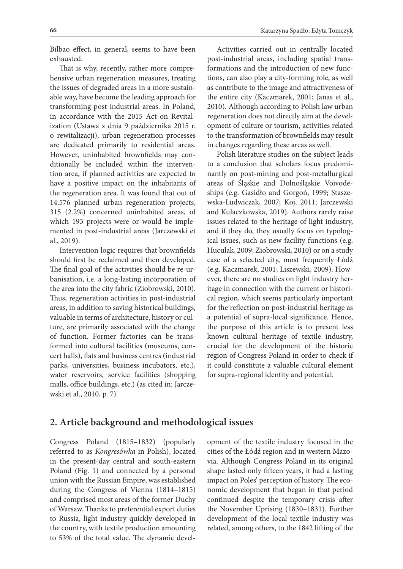Bilbao effect, in general, seems to have been exhausted.

That is why, recently, rather more comprehensive urban regeneration measures, treating the issues of degraded areas in a more sustainable way, have become the leading approach for transforming post-industrial areas. In Poland, in accordance with the 2015 Act on Revitalization (Ustawa z dnia 9 października 2015 r. o rewitalizacji), urban regeneration processes are dedicated primarily to residential areas. However, uninhabited brownfields may conditionally be included within the intervention area, if planned activities are expected to have a positive impact on the inhabitants of the regeneration area. It was found that out of 14.576 planned urban regeneration projects, 315 (2.2%) concerned uninhabited areas, of which 193 projects were or would be implemented in post-industrial areas (Jarczewski et al., 2019).

Intervention logic requires that brownfields should first be reclaimed and then developed. The final goal of the activities should be re-urbanisation, i.e. a long-lasting incorporation of the area into the city fabric (Ziobrowski, 2010). Thus, regeneration activities in post-industrial areas, in addition to saving historical buildings, valuable in terms of architecture, history or culture, are primarily associated with the change of function. Former factories can be transformed into cultural facilities (museums, concert halls), flats and business centres (industrial parks, universities, business incubators, etc.), water reservoirs, service facilities (shopping malls, office buildings, etc.) (as cited in: Jarczewski et al., 2010, p. 7).

as contribute to the image and attractiveness of the entire city (Kaczmarek, 2001; Janas et al., 2010). Although according to Polish law urban regeneration does not directly aim at the development of culture or tourism, activities related to the transformation of brownfields may result in changes regarding these areas as well.

Polish literature studies on the subject leads to a conclusion that scholars focus predominantly on post-mining and post-metallurgical areas of Śląskie and Dolnośląskie Voivodeships (e.g. Gasidło and Gorgoń, 1999; Staszewska-Ludwiczak, 2007; Koj, 2011; Jarczewski and Kułaczkowska, 2019). Authors rarely raise issues related to the heritage of light industry, and if they do, they usually focus on typological issues, such as new facility functions (e.g. Huculak, 2009; Ziobrowski, 2010) or on a study case of a selected city, most frequently Łódź (e.g. Kaczmarek, 2001; Liszewski, 2009). However, there are no studies on light industry heritage in connection with the current or historical region, which seems particularly important for the reflection on post-industrial heritage as a potential of supra-local significance. Hence, the purpose of this article is to present less known cultural heritage of textile industry, crucial for the development of the historic region of Congress Poland in order to check if it could constitute a valuable cultural element for supra-regional identity and potential.

# **2. Article background and methodological issues**

Congress Poland (1815–1832) (popularly referred to as *Kongresówka* in Polish), located in the present-day central and south-eastern Poland (Fig. 1) and connected by a personal union with the Russian Empire, was established during the Congress of Vienna (1814–1815) and comprised most areas of the former Duchy of Warsaw. Thanks to preferential export duties to Russia, light industry quickly developed in the country, with textile production amounting to 53% of the total value. The dynamic development of the textile industry focused in the cities of the Łódź region and in western Mazovia. Although Congress Poland in its original shape lasted only fifteen years, it had a lasting impact on Poles' perception of history. The economic development that began in that period continued despite the temporary crisis after the November Uprising (1830–1831). Further development of the local textile industry was related, among others, to the 1842 lifting of the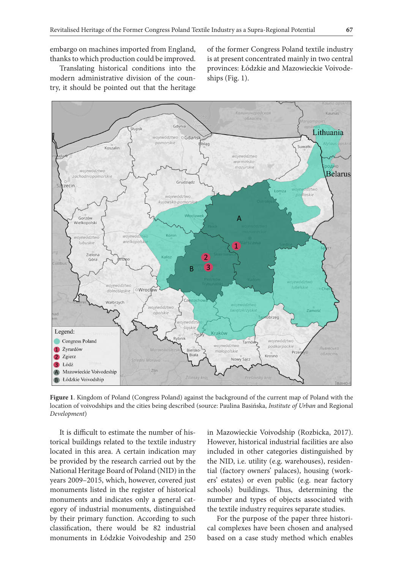Translating historical conditions into the modern administrative division of the country, it should be pointed out that the heritage of the former Congress Poland textile industry is at present concentrated mainly in two central provinces: Łódzkie and Mazowieckie Voivodeships (Fig. 1).



**Figure 1**. Kingdom of Poland (Congress Poland) against the background of the current map of Poland with the location of voivodships and the cities being described (source: Paulina Basińska, *Institute of Urban* and Regional *Development*)

It is difficult to estimate the number of historical buildings related to the textile industry located in this area. A certain indication may be provided by the research carried out by the National Heritage Board of Poland (NID) in the years 2009–2015, which, however, covered just monuments listed in the register of historical monuments and indicates only a general category of industrial monuments, distinguished by their primary function. According to such classification, there would be 82 industrial monuments in Łódzkie Voivodeship and 250 in Mazowieckie Voivodship (Rozbicka, 2017). However, historical industrial facilities are also included in other categories distinguished by the NID, i.e. utility (e.g. warehouses), residential (factory owners' palaces), housing (workers' estates) or even public (e.g. near factory schools) buildings. Thus, determining the number and types of objects associated with the textile industry requires separate studies.

For the purpose of the paper three historical complexes have been chosen and analysed based on a case study method which enables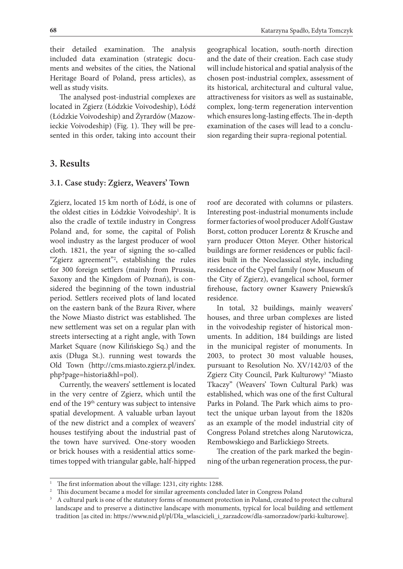their detailed examination. The analysis included data examination (strategic documents and websites of the cities, the National Heritage Board of Poland, press articles), as well as study visits.

The analysed post-industrial complexes are located in Zgierz (Łódzkie Voivodeship), Łódź (Łódzkie Voivodeship) and Żyrardów (Mazowieckie Voivodeship) (Fig. 1). They will be presented in this order, taking into account their

## **3. Results**

#### **3.1. Case study: Zgierz, Weavers' Town**

Zgierz, located 15 km north of Łódź, is one of the oldest cities in Łódzkie Voivodeship<sup>1</sup>. It is also the cradle of textile industry in Congress Poland and, for some, the capital of Polish wool industry as the largest producer of wool cloth. 1821, the year of signing the so-called "Zgierz agreement"<sup>2</sup>, establishing the rules for 300 foreign settlers (mainly from Prussia, Saxony and the Kingdom of Poznań), is considered the beginning of the town industrial period. Settlers received plots of land located on the eastern bank of the Bzura River, where the Nowe Miasto district was established. The new settlement was set on a regular plan with streets intersecting at a right angle, with Town Market Square (now Kilińskiego Sq.) and the axis (Długa St.). running west towards the Old Town (http://cms.miasto.zgierz.pl/index. php?page=historia&hl=pol).

Currently, the weavers' settlement is located in the very centre of Zgierz, which until the end of the 19<sup>th</sup> century was subject to intensive spatial development. A valuable urban layout of the new district and a complex of weavers' houses testifying about the industrial past of the town have survived. One-story wooden or brick houses with a residential attics sometimes topped with triangular gable, half-hipped

geographical location, south-north direction and the date of their creation. Each case study will include historical and spatial analysis of the chosen post-industrial complex, assessment of its historical, architectural and cultural value, attractiveness for visitors as well as sustainable, complex, long-term regeneration intervention which ensures long-lasting effects. The in-depth examination of the cases will lead to a conclusion regarding their supra-regional potential.

roof are decorated with columns or pilasters. Interesting post-industrial monuments include former factories of wool producer Adolf Gustaw Borst, cotton producer Lorentz & Krusche and yarn producer Otton Meyer. Other historical buildings are former residences or public facilities built in the Neoclassical style, including residence of the Cypel family (now Museum of the City of Zgierz), evangelical school, former firehouse, factory owner Ksawery Pniewski's residence.

In total, 32 buildings, mainly weavers' houses, and three urban complexes are listed in the voivodeship register of historical monuments. In addition, 184 buildings are listed in the municipal register of monuments. In 2003, to protect 30 most valuable houses, pursuant to Resolution No. XV/142/03 of the Zgierz City Council, Park Kulturowy<sup>3</sup> "Miasto Tkaczy" (Weavers' Town Cultural Park) was established, which was one of the first Cultural Parks in Poland. The Park which aims to protect the unique urban layout from the 1820s as an example of the model industrial city of Congress Poland stretches along Narutowicza, Rembowskiego and Barlickiego Streets.

The creation of the park marked the beginning of the urban regeneration process, the pur-

The first information about the village: 1231, city rights: 1288.

<sup>&</sup>lt;sup>2</sup> This document became a model for similar agreements concluded later in Congress Poland

<sup>3</sup> A cultural park is one of the statutory forms of monument protection in Poland, created to protect the cultural landscape and to preserve a distinctive landscape with monuments, typical for local building and settlement tradition [as cited in: https://www.nid.pl/pl/Dla\_wlascicieli\_i\_zarzadcow/dla-samorzadow/parki-kulturowe].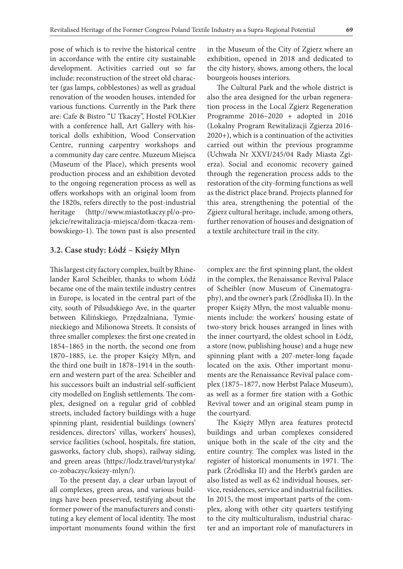pose of which is to revive the historical centre in accordance with the entire city sustainable development. Activities carried out so far include: reconstruction of the street old character (gas lamps, cobblestones) as well as gradual renovation of the wooden houses, intended for various functions. Currently in the Park there are: Cafe & Bistro "U Tkaczy", Hostel FOLKier with a conference hall, Art Gallery with historical dolls exhibition, Wood Conservation Centre, running carpentry workshops and a community day care centre. Muzeum Miejsca (Museum of the Place), which presents wool production process and an exhibition devoted to the ongoing regeneration process as well as offers workshops with an original loom from the 1820s, refers directly to the post-industrial heritage (http://www.miastotkaczy.pl/o-projekcie/rewitalizacja-miejsca/dom-tkacza-rembowskiego-1). The town past is also presented

#### **3.2. Case study: Łódź – Księży Młyn**

This largest city factory complex, built by Rhinelander Karol Scheibler, thanks to whom Łódź became one of the main textile industry centres in Europe, is located in the central part of the city, south of Piłsudskiego Ave, in the quarter between Kilińskiego, Przędzalniana, Tymienieckiego and Milionowa Streets. It consists of three smaller complexes: the first one created in 1854–1865 in the north, the second one from 1870–1885, i.e. the proper Księży Młyn, and the third one built in 1878–1914 in the southern and western part of the area. Scheibler and his successors built an industrial self-sufficient city modelled on English settlements. The complex, designed on a regular grid of cobbled streets, included factory buildings with a huge spinning plant, residential buildings (owners' residences, directors' villas, workers' houses), service facilities (school, hospitals, fire station, gasworks, factory club, shops), railway siding, and green areas (https://lodz.travel/turystyka/ co-zobaczyc/ksiezy-mlyn/).

To the present day, a clear urban layout of all complexes, green areas, and various buildings have been preserved, testifying about the former power of the manufacturers and constituting a key element of local identity. The most important monuments found within the first

in the Museum of the City of Zgierz where an exhibition, opened in 2018 and dedicated to the city history, shows, among others, the local bourgeois houses interiors.

The Cultural Park and the whole district is also the area designed for the urban regeneration process in the Local Zgierz Regeneration Programme 2016–2020 + adopted in 2016 (Lokalny Program Rewitalizacji Zgierza 2016- 2020+), which is a continuation of the activities carried out within the previous programme (Uchwała Nr XXVI/245/04 Rady Miasta Zgierza). Social and economic recovery gained through the regeneration process adds to the restoration of the city-forming functions as well as the district place brand. Projects planned for this area, strengthening the potential of the Zgierz cultural heritage, include, among others, further renovation of houses and designation of a textile architecture trail in the city.

complex are: the first spinning plant, the oldest in the complex, the Renaissance Revival Palace of Scheibler (now Museum of Cinematography), and the owner's park (Źródliska II). In the proper Księży Młyn, the most valuable monuments include: the workers' housing estate of two-story brick houses arranged in lines with the inner courtyard, the oldest school in Łódź, a store (now, publishing house) and a huge new spinning plant with a 207-meter-long façade located on the axis. Other important monuments are the Renaissance Revival palace complex (1875–1877, now Herbst Palace Museum), as well as a former fire station with a Gothic Revival tower and an original steam pump in the courtyard.

The Księży Młyn area features protectd buildings and urban complexes considered unique both in the scale of the city and the entire country. The complex was listed in the register of historical monuments in 1971. The park (Źródliska II) and the Herbt's garden are also listed as well as 62 individual houses, service, residences, service and industrial facilities. In 2015, the most important parts of the complex, along with other city quarters testifying to the city multiculturalism, industrial character and an important role of manufacturers in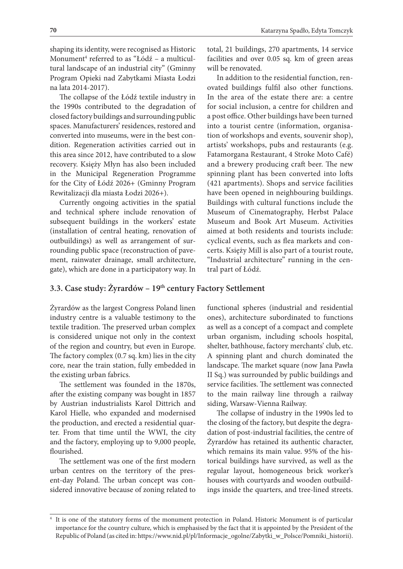shaping its identity, were recognised as Historic Monument4 referred to as "Łódź – a multicultural landscape of an industrial city" (Gminny Program Opieki nad Zabytkami Miasta Łodzi na lata 2014-2017).

The collapse of the Łódź textile industry in the 1990s contributed to the degradation of closed factory buildings and surrounding public spaces. Manufacturers' residences, restored and converted into museums, were in the best condition. Regeneration activities carried out in this area since 2012, have contributed to a slow recovery. Księży Młyn has also been included in the Municipal Regeneration Programme for the City of Łódź 2026+ (Gminny Program Rewitalizacji dla miasta Łodzi 2026+).

Currently ongoing activities in the spatial and technical sphere include renovation of subsequent buildings in the workers' estate (installation of central heating, renovation of outbuildings) as well as arrangement of surrounding public space (reconstruction of pavement, rainwater drainage, small architecture, gate), which are done in a participatory way. In

total, 21 buildings, 270 apartments, 14 service facilities and over 0.05 sq. km of green areas will be renovated.

In addition to the residential function, renovated buildings fulfil also other functions. In the area of the estate there are: a centre for social inclusion, a centre for children and a post office. Other buildings have been turned into a tourist centre (information, organisation of workshops and events, souvenir shop), artists' workshops, pubs and restaurants (e.g. Fatamorgana Restaurant, 4 Stroke Moto Café) and a brewery producing craft beer. The new spinning plant has been converted into lofts (421 apartments). Shops and service facilities have been opened in neighbouring buildings. Buildings with cultural functions include the Museum of Cinematography, Herbst Palace Museum and Book Art Museum. Activities aimed at both residents and tourists include: cyclical events, such as flea markets and concerts. Księży Mill is also part of a tourist route, "Industrial architecture" running in the central part of Łódź.

## **3.3. Case study: Żyrardów – 19th century Factory Settlement**

Żyrardów as the largest Congress Poland linen industry centre is a valuable testimony to the textile tradition. The preserved urban complex is considered unique not only in the context of the region and country, but even in Europe. The factory complex (0.7 sq. km) lies in the city core, near the train station, fully embedded in the existing urban fabrics.

The settlement was founded in the 1870s, after the existing company was bought in 1857 by Austrian industrialists Karol Dittrich and Karol Hielle, who expanded and modernised the production, and erected a residential quarter. From that time until the WWI, the city and the factory, employing up to 9,000 people, flourished.

The settlement was one of the first modern urban centres on the territory of the present-day Poland. The urban concept was considered innovative because of zoning related to functional spheres (industrial and residential ones), architecture subordinated to functions as well as a concept of a compact and complete urban organism, including schools hospital, shelter, bathhouse, factory merchants' club, etc. A spinning plant and church dominated the landscape. The market square (now Jana Pawła II Sq.) was surrounded by public buildings and service facilities. The settlement was connected to the main railway line through a railway siding, Warsaw-Vienna Railway.

The collapse of industry in the 1990s led to the closing of the factory, but despite the degradation of post-industrial facilities, the centre of Żyrardów has retained its authentic character, which remains its main value. 95% of the historical buildings have survived, as well as the regular layout, homogeneous brick worker's houses with courtyards and wooden outbuildings inside the quarters, and tree-lined streets.

<sup>4</sup> It is one of the statutory forms of the monument protection in Poland. Historic Monument is of particular importance for the country culture, which is emphasised by the fact that it is appointed by the President of the Republic of Poland (as cited in: https://www.nid.pl/pl/Informacje\_ogolne/Zabytki\_w\_Polsce/Pomniki\_historii).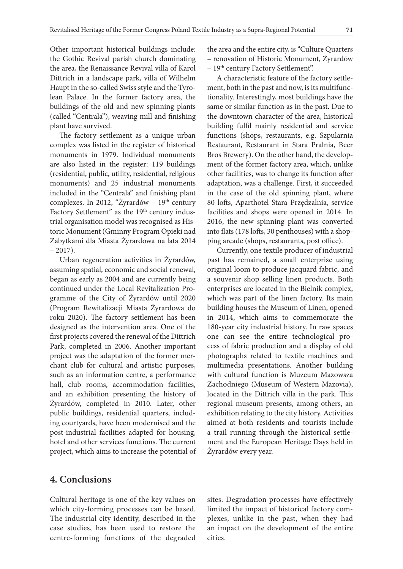Other important historical buildings include: the Gothic Revival parish church dominating the area, the Renaissance Revival villa of Karol Dittrich in a landscape park, villa of Wilhelm Haupt in the so-called Swiss style and the Tyrolean Palace. In the former factory area, the buildings of the old and new spinning plants (called "Centrala"), weaving mill and finishing plant have survived.

The factory settlement as a unique urban complex was listed in the register of historical monuments in 1979. Individual monuments are also listed in the register: 119 buildings (residential, public, utility, residential, religious monuments) and 25 industrial monuments included in the "Centrala" and finishing plant complexes. In 2012, "Żyrardów – 19<sup>th</sup> century Factory Settlement" as the 19<sup>th</sup> century industrial organisation model was recognised as Historic Monument (Gminny Program Opieki nad Zabytkami dla Miasta Żyrardowa na lata 2014  $-2017$ ).

Urban regeneration activities in Żyrardów, assuming spatial, economic and social renewal, began as early as 2004 and are currently being continued under the Local Revitalization Programme of the City of Żyrardów until 2020 (Program Rewitalizacji Miasta Żyrardowa do roku 2020). The factory settlement has been designed as the intervention area. One of the first projects covered the renewal of the Dittrich Park, completed in 2006. Another important project was the adaptation of the former merchant club for cultural and artistic purposes, such as an information centre, a performance hall, club rooms, accommodation facilities, and an exhibition presenting the history of Żyrardów, completed in 2010. Later, other public buildings, residential quarters, including courtyards, have been modernised and the post-industrial facilities adapted for housing, hotel and other services functions. The current project, which aims to increase the potential of

the area and the entire city, is "Culture Quarters – renovation of Historic Monument, Żyrardów

– 19th century Factory Settlement".

A characteristic feature of the factory settlement, both in the past and now, is its multifunctionality. Interestingly, most buildings have the same or similar function as in the past. Due to the downtown character of the area, historical building fulfil mainly residential and service functions (shops, restaurants, e.g. Szpularnia Restaurant, Restaurant in Stara Pralnia, Beer Bros Brewery). On the other hand, the development of the former factory area, which, unlike other facilities, was to change its function after adaptation, was a challenge. First, it succeeded in the case of the old spinning plant, where 80 lofts, Aparthotel Stara Przędzalnia, service facilities and shops were opened in 2014. In 2016, the new spinning plant was converted into flats (178 lofts, 30 penthouses) with a shopping arcade (shops, restaurants, post office).

Currently, one textile producer of industrial past has remained, a small enterprise using original loom to produce jacquard fabric, and a souvenir shop selling linen products. Both enterprises are located in the Bielnik complex, which was part of the linen factory. Its main building houses the Museum of Linen, opened in 2014, which aims to commemorate the 180-year city industrial history. In raw spaces one can see the entire technological process of fabric production and a display of old photographs related to textile machines and multimedia presentations. Another building with cultural function is Muzeum Mazowsza Zachodniego (Museum of Western Mazovia), located in the Dittrich villa in the park. This regional museum presents, among others, an exhibition relating to the city history. Activities aimed at both residents and tourists include a trail running through the historical settlement and the European Heritage Days held in Żyrardów every year.

# **4. Conclusions**

Cultural heritage is one of the key values on which city-forming processes can be based. The industrial city identity, described in the case studies, has been used to restore the centre-forming functions of the degraded

sites. Degradation processes have effectively limited the impact of historical factory complexes, unlike in the past, when they had an impact on the development of the entire cities.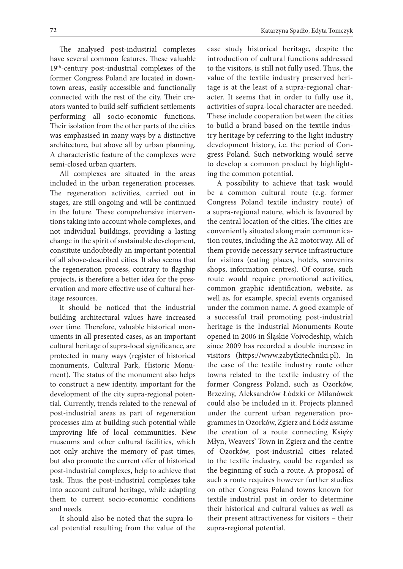The analysed post-industrial complexes have several common features. These valuable 19th-century post-industrial complexes of the former Congress Poland are located in downtown areas, easily accessible and functionally connected with the rest of the city. Their creators wanted to build self-sufficient settlements performing all socio-economic functions. Their isolation from the other parts of the cities was emphasised in many ways by a distinctive architecture, but above all by urban planning. A characteristic feature of the complexes were semi-closed urban quarters.

All complexes are situated in the areas included in the urban regeneration processes. The regeneration activities, carried out in stages, are still ongoing and will be continued in the future. These comprehensive interventions taking into account whole complexes, and not individual buildings, providing a lasting change in the spirit of sustainable development, constitute undoubtedly an important potential of all above-described cities. It also seems that the regeneration process, contrary to flagship projects, is therefore a better idea for the preservation and more effective use of cultural heritage resources.

It should be noticed that the industrial building architectural values have increased over time. Therefore, valuable historical monuments in all presented cases, as an important cultural heritage of supra-local significance, are protected in many ways (register of historical monuments, Cultural Park, Historic Monument). The status of the monument also helps to construct a new identity, important for the development of the city supra-regional potential. Currently, trends related to the renewal of post-industrial areas as part of regeneration processes aim at building such potential while improving life of local communities. New museums and other cultural facilities, which not only archive the memory of past times, but also promote the current offer of historical post-industrial complexes, help to achieve that task. Thus, the post-industrial complexes take into account cultural heritage, while adapting them to current socio-economic conditions and needs.

It should also be noted that the supra-local potential resulting from the value of the case study historical heritage, despite the introduction of cultural functions addressed to the visitors, is still not fully used. Thus, the value of the textile industry preserved heritage is at the least of a supra-regional character. It seems that in order to fully use it, activities of supra-local character are needed. These include cooperation between the cities to build a brand based on the textile industry heritage by referring to the light industry development history, i.e. the period of Congress Poland. Such networking would serve to develop a common product by highlighting the common potential.

A possibility to achieve that task would be a common cultural route (e.g. former Congress Poland textile industry route) of a supra-regional nature, which is favoured by the central location of the cities. The cities are conveniently situated along main communication routes, including the A2 motorway. All of them provide necessary service infrastructure for visitors (eating places, hotels, souvenirs shops, information centres). Of course, such route would require promotional activities, common graphic identification, website, as well as, for example, special events organised under the common name. A good example of a successful trail promoting post-industrial heritage is the Industrial Monuments Route opened in 2006 in Śląskie Voivodeship, which since 2009 has recorded a double increase in visitors (https://www.zabytkitechniki.pl). In the case of the textile industry route other towns related to the textile industry of the former Congress Poland, such as Ozorków, Brzeziny, Aleksandrów Łódzki or Milanówek could also be included in it. Projects planned under the current urban regeneration programmes in Ozorków, Zgierz and Łódź assume the creation of a route connecting Księży Młyn, Weavers' Town in Zgierz and the centre of Ozorków, post-industrial cities related to the textile industry, could be regarded as the beginning of such a route. A proposal of such a route requires however further studies on other Congress Poland towns known for textile industrial past in order to determine their historical and cultural values as well as their present attractiveness for visitors – their supra-regional potential.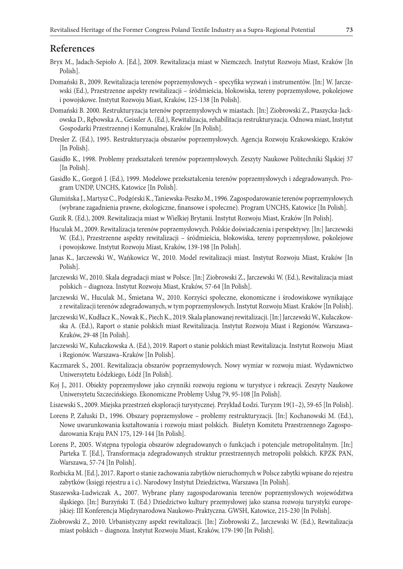# **References**

- Bryx M., Jadach-Sepioło A. [Ed.], 2009. Rewitalizacja miast w Niemczech. Instytut Rozwoju Miast, Kraków [In Polish].
- Domański B., 2009. Rewitalizacja terenów poprzemysłowych specyfika wyzwań i instrumentów. [In:] W. Jarczewski (Ed.), Przestrzenne aspekty rewitalizacji – śródmieścia, blokowiska, tereny poprzemysłowe, pokolejowe i powojskowe. Instytut Rozwoju Miast, Kraków, 125-138 [In Polish].
- Domański B. 2000. Restrukturyzacja terenów poprzemysłowych w miastach. [In:] Ziobrowski Z., Ptaszycka-Jackowska D., Rębowska A., Geissler A. (Ed.), Rewitalizacja, rehabilitacja restrukturyzacja. Odnowa miast, Instytut Gospodarki Przestrzennej i Komunalnej, Kraków [In Polish].
- Dresler Z. (Ed.), 1995. Restrukturyzacja obszarów poprzemysłowych. Agencja Rozwoju Krakowskiego, Kraków [In Polish].
- Gasidło K., 1998. Problemy przekształceń terenów poprzemysłowych. Zeszyty Naukowe Politechniki Śląskiej 37 [In Polish].
- Gasidło K., Gorgoń J. (Ed.), 1999. Modelowe przekształcenia terenów poprzemysłowych i zdegradowanych. Program UNDP, UNCHS, Katowice [In Polish].
- Glumińska J., Martysz C., Podgórski K., Taniewska-Peszko M., 1996. Zagospodarowanie terenów poprzemysłowych (wybrane zagadnienia prawne, ekologiczne, finansowe i społeczne). Program UNCHS, Katowice [In Polish].
- Guzik R. (Ed.), 2009. Rewitalizacja miast w Wielkiej Brytanii. Instytut Rozwoju Miast, Kraków [In Polish].
- Huculak M., 2009. Rewitalizacja terenów poprzemysłowych. Polskie doświadczenia i perspektywy. [In:] Jarczewski W. (Ed.), Przestrzenne aspekty rewitalizacji – śródmieścia, blokowiska, tereny poprzemysłowe, pokolejowe i powojskowe. Instytut Rozwoju Miast, Kraków, 139-198 [In Polish].
- Janas K., Jarczewski W., Wańkowicz W., 2010. Model rewitalizacji miast. Instytut Rozwoju Miast, Kraków [In Polish].
- Jarczewski W., 2010. Skala degradacji miast w Polsce. [In:] Ziobrowski Z., Jarczewski W. (Ed.), Rewitalizacja miast polskich – diagnoza. Instytut Rozwoju Miast, Kraków, 57-64 [In Polish].
- Jarczewski W., Huculak M., Śmietana W., 2010. Korzyści społeczne, ekonomiczne i środowiskowe wynikające z rewitalizacji terenów zdegradowanych, w tym poprzemysłowych. Instytut Rozwoju Miast. Kraków [In Polish].
- Jarczewski W., Kudłacz K., Nowak K., Piech K., 2019. Skala planowanej rewitalizacji. [In:] Jarczewski W., Kułaczkowska A. (Ed.), Raport o stanie polskich miast Rewitalizacja. Instytut Rozwoju Miast i Regionów. Warszawa– Kraków, 29-48 [In Polish].
- Jarczewski W., Kułaczkowska A. (Ed.), 2019. Raport o stanie polskich miast Rewitalizacja. Instytut Rozwoju Miast i Regionów. Warszawa–Kraków [In Polish].
- Kaczmarek S., 2001. Rewitalizacja obszarów poprzemysłowych. Nowy wymiar w rozwoju miast. Wydawnictwo Uniwersytetu Łódzkiego, Łódź [In Polish].
- Koj J., 2011. Obiekty poprzemysłowe jako czynniki rozwoju regionu w turystyce i rekreacji. Zeszyty Naukowe Uniwersytetu Szczecińskiego. Ekonomiczne Problemy Usług 79, 95-108 [In Polish].
- Liszewski S., 2009. Miejska przestrzeń eksploracji turystycznej*.* Przykład Łodzi. Turyzm 19(1–2), 59-65 [In Polish].
- Lorens P, Załuski D., 1996. Obszary poprzemysłowe problemy restrukturyzacji. [In:] Kochanowski M. (Ed.), Nowe uwarunkowania kształtowania i rozwoju miast polskich. Biuletyn Komitetu Przestrzennego Zagospodarowania Kraju PAN 175, 129-144 [In Polish].
- Lorens P., 2005. Wstępna typologia obszarów zdegradowanych o funkcjach i potencjale metropolitalnym. [In:] Parteka T. [Ed.], Transformacja zdegradowanych struktur przestrzennych metropolii polskich. KPZK PAN, Warszawa, 57-74 [In Polish].
- Rozbicka M. [Ed.], 2017. Raport o stanie zachowania zabytków nieruchomych w Polsce zabytki wpisane do rejestru zabytków (księgi rejestru a i c). Narodowy Instytut Dziedzictwa, Warszawa [In Polish].
- Staszewska-Ludwiczak A., 2007. Wybrane plany zagospodarowania terenów poprzemysłowych województwa śląskiego. [In:] Burzyński T. (Ed.) Dziedzictwo kultury przemysłowej jako szansa rozwoju turystyki europejskiej: III Konferencja Międzynarodowa Naukowo-Praktyczna. GWSH, Katowice, 215-230 [In Polish].
- Ziobrowski Z., 2010. Urbanistyczny aspekt rewitalizacji. [In:] Ziobrowski Z., Jarczewski W. (Ed.), Rewitalizacja miast polskich – diagnoza. Instytut Rozwoju Miast, Kraków, 179-190 [In Polish].